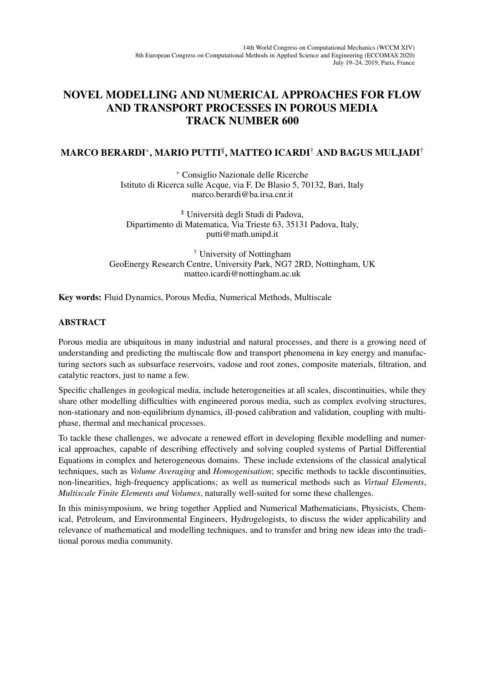## NOVEL MODELLING AND NUMERICAL APPROACHES FOR FLOW AND TRANSPORT PROCESSES IN POROUS MEDIA TRACK NUMBER 600

## MARCO BERARDI<sup>∗</sup> , MARIO PUTTI§ , MATTEO ICARDI† AND BAGUS MULJADI†

<sup>∗</sup> Consiglio Nazionale delle Ricerche Istituto di Ricerca sulle Acque, via F. De Blasio 5, 70132, Bari, Italy marco.berardi@ba.irsa.cnr.it

§ Universita degli Studi di Padova, ` Dipartimento di Matematica, Via Trieste 63, 35131 Padova, Italy, putti@math.unipd.it

† University of Nottingham GeoEnergy Research Centre, University Park, NG7 2RD, Nottingham, UK matteo.icardi@nottingham.ac.uk

Key words: Fluid Dynamics, Porous Media, Numerical Methods, Multiscale

## ABSTRACT

Porous media are ubiquitous in many industrial and natural processes, and there is a growing need of understanding and predicting the multiscale flow and transport phenomena in key energy and manufacturing sectors such as subsurface reservoirs, vadose and root zones, composite materials, filtration, and catalytic reactors, just to name a few.

Specific challenges in geological media, include heterogeneities at all scales, discontinuities, while they share other modelling difficulties with engineered porous media, such as complex evolving structures, non-stationary and non-equilibrium dynamics, ill-posed calibration and validation, coupling with multiphase, thermal and mechanical processes.

To tackle these challenges, we advocate a renewed effort in developing flexible modelling and numerical approaches, capable of describing effectively and solving coupled systems of Partial Differential Equations in complex and heterogeneous domains. These include extensions of the classical analytical techniques, such as *Volume Averaging* and *Homogenisation*; specific methods to tackle discontinuities, non-linearities, high-frequency applications; as well as numerical methods such as *Virtual Elements*, *Multiscale Finite Elements and Volumes*, naturally well-suited for some these challenges.

In this minisymposium, we bring together Applied and Numerical Mathematicians, Physicists, Chemical, Petroleum, and Environmental Engineers, Hydrogelogists, to discuss the wider applicability and relevance of mathematical and modelling techniques, and to transfer and bring new ideas into the traditional porous media community.